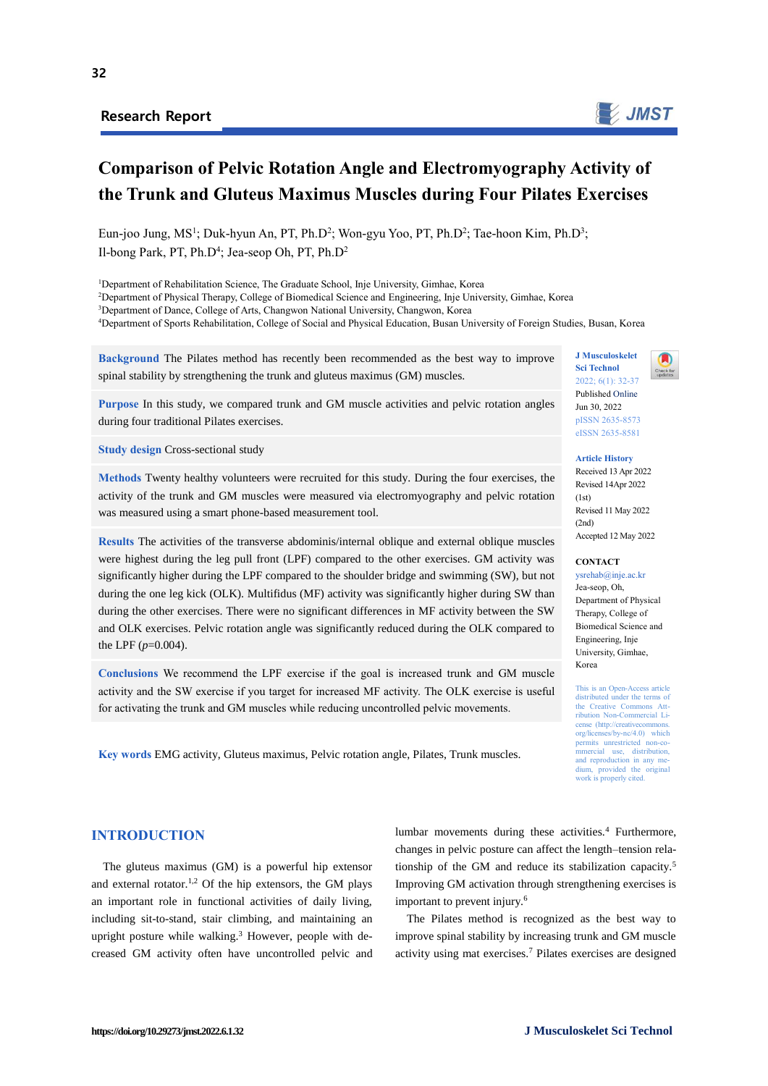# Research Report



# **Comparison of Pelvic Rotation Angle and Electromyography Activity of the Trunk and Gluteus Maximus Muscles during Four Pilates Exercises**

Eun-joo Jung, MS<sup>1</sup>; Duk-hyun An, PT, Ph.D<sup>2</sup>; Won-gyu Yoo, PT, Ph.D<sup>2</sup>; Tae-hoon Kim, Ph.D<sup>3</sup>; Il-bong Park, PT, Ph.D<sup>4</sup>; Jea-seop Oh, PT, Ph.D<sup>2</sup>

<sup>1</sup>Department of Rehabilitation Science, The Graduate School, Inje University, Gimhae, Korea

<sup>2</sup>Department of Physical Therapy, College of Biomedical Science and Engineering, Inje University, Gimhae, Korea

<sup>3</sup>Department of Dance, College of Arts, Changwon National University, Changwon, Korea

<sup>4</sup>Department of Sports Rehabilitation, College of Social and Physical Education, Busan University of Foreign Studies, Busan, Korea

**Background** The Pilates method has recently been recommended as the best way to improve spinal stability by strengthening the trunk and gluteus maximus (GM) muscles.

**Purpose** In this study, we compared trunk and GM muscle activities and pelvic rotation angles during four traditional Pilates exercises.

**Study design Cross-sectional study** 

**Methods** Twenty healthy volunteers were recruited for this study. During the four exercises, the activity of the trunk and GM muscles were measured via electromyography and pelvic rotation was measured using a smart phone-based measurement tool.

**Results** The activities of the transverse abdominis/internal oblique and external oblique muscles were highest during the leg pull front (LPF) compared to the other exercises. GM activity was significantly higher during the LPF compared to the shoulder bridge and swimming (SW), but not during the one leg kick (OLK). Multifidus (MF) activity was significantly higher during SW than during the other exercises. There were no significant differences in MF activity between the SW and OLK exercises. Pelvic rotation angle was significantly reduced during the OLK compared to the LPF (*p*=0.004).

**Conclusions** We recommend the LPF exercise if the goal is increased trunk and GM muscle activity and the SW exercise if you target for increased MF activity. The OLK exercise is useful for activating the trunk and GM muscles while reducing uncontrolled pelvic movements.

**Key words** EMG activity, Gluteus maximus, Pelvic rotation angle, Pilates, Trunk muscles.

#### **J Musculoskelet Sci Technol**  $2022: 6(1): 32-37$ Published Online Jun 30, 2022

**Article History** Received 13 Apr 2022 Revised 14Apr 2022

pISSN 2635-8573 eISSN 2635-8581

 $(1st)$ Revised 11 May 2022  $(2nd)$ Accepted 12 May 2022

#### **CONTACT**

ysrehab@inje.ac.kr Jea-seop, Oh, Department of Physical Therapy, College of Biomedical Science and Engineering, Inje University, Gimhae, Korea

This is an Open-Access article distributed under the terms of the Creative Commons Attribution Non-Commercial License (http://creativecommons. org/licenses/by-nc/4.0) which permits unrestricted mmercial use, distribution, and reproduction in any medium, provided the original work is properly cited.

## **INTRODUCTION**

The gluteus maximus (GM) is a powerful hip extensor and external rotator.<sup>1,2</sup> Of the hip extensors, the GM plays an important role in functional activities of daily living, including sit-to-stand, stair climbing, and maintaining an upright posture while walking.<sup>3</sup> However, people with decreased GM activity often have uncontrolled pelvic and

lumbar movements during these activities.<sup>4</sup> Furthermore, changes in pelvic posture can affect the length–tension relationship of the GM and reduce its stabilization capacity.<sup>5</sup> Improving GM activation through strengthening exercises is important to prevent injury.<sup>6</sup>

The Pilates method is recognized as the best way to improve spinal stability by increasing trunk and GM muscle activity using mat exercises.<sup>7</sup> Pilates exercises are designed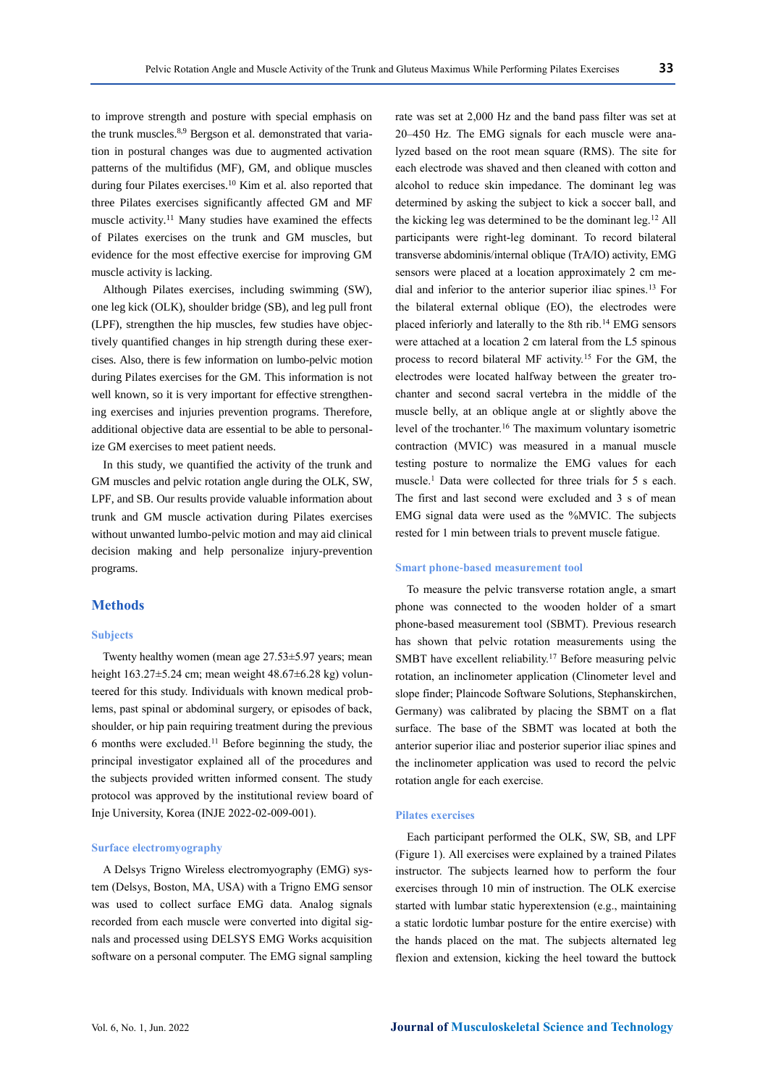to improve strength and posture with special emphasis on the trunk muscles.<sup>8,9</sup> Bergson et al. demonstrated that variation in postural changes was due to augmented activation patterns of the multifidus (MF), GM, and oblique muscles during four Pilates exercises.<sup>10</sup> Kim et al*.* also reported that three Pilates exercises significantly affected GM and MF muscle activity.<sup>11</sup> Many studies have examined the effects of Pilates exercises on the trunk and GM muscles, but evidence for the most effective exercise for improving GM

Although Pilates exercises, including swimming (SW), one leg kick (OLK), shoulder bridge (SB), and leg pull front (LPF), strengthen the hip muscles, few studies have objectively quantified changes in hip strength during these exercises. Also, there is few information on lumbo-pelvic motion during Pilates exercises for the GM. This information is not well known, so it is very important for effective strengthening exercises and injuries prevention programs. Therefore, additional objective data are essential to be able to personalize GM exercises to meet patient needs.

muscle activity is lacking.

In this study, we quantified the activity of the trunk and GM muscles and pelvic rotation angle during the OLK, SW, LPF, and SB. Our results provide valuable information about trunk and GM muscle activation during Pilates exercises without unwanted lumbo-pelvic motion and may aid clinical decision making and help personalize injury-prevention programs.

## **Methods**

#### **Subjects**

Twenty healthy women (mean age 27.53±5.97 years; mean height  $163.27\pm5.24$  cm; mean weight  $48.67\pm6.28$  kg) volunteered for this study. Individuals with known medical problems, past spinal or abdominal surgery, or episodes of back, shoulder, or hip pain requiring treatment during the previous 6 months were excluded.<sup>11</sup> Before beginning the study, the principal investigator explained all of the procedures and the subjects provided written informed consent. The study protocol was approved by the institutional review board of Inje University, Korea (INJE 2022-02-009-001).

#### **Surface electromyography**

A Delsys Trigno Wireless electromyography (EMG) system (Delsys, Boston, MA, USA) with a Trigno EMG sensor was used to collect surface EMG data. Analog signals recorded from each muscle were converted into digital signals and processed using DELSYS EMG Works acquisition software on a personal computer. The EMG signal sampling rate was set at 2,000 Hz and the band pass filter was set at 20–450 Hz. The EMG signals for each muscle were analyzed based on the root mean square (RMS). The site for each electrode was shaved and then cleaned with cotton and alcohol to reduce skin impedance. The dominant leg was determined by asking the subject to kick a soccer ball, and the kicking leg was determined to be the dominant leg.<sup>12</sup> All participants were right-leg dominant. To record bilateral transverse abdominis/internal oblique (TrA/IO) activity, EMG sensors were placed at a location approximately 2 cm medial and inferior to the anterior superior iliac spines.<sup>13</sup> For the bilateral external oblique (EO), the electrodes were placed inferiorly and laterally to the 8th rib.<sup>14</sup> EMG sensors were attached at a location 2 cm lateral from the L5 spinous process to record bilateral MF activity.<sup>15</sup> For the GM, the electrodes were located halfway between the greater trochanter and second sacral vertebra in the middle of the muscle belly, at an oblique angle at or slightly above the level of the trochanter.<sup>16</sup> The maximum voluntary isometric contraction (MVIC) was measured in a manual muscle testing posture to normalize the EMG values for each muscle.<sup>1</sup> Data were collected for three trials for 5 s each. The first and last second were excluded and 3 s of mean EMG signal data were used as the %MVIC. The subjects rested for 1 min between trials to prevent muscle fatigue.

#### **Smart phone-based measurement tool**

To measure the pelvic transverse rotation angle, a smart phone was connected to the wooden holder of a smart phone-based measurement tool (SBMT). Previous research has shown that pelvic rotation measurements using the SMBT have excellent reliability.<sup>17</sup> Before measuring pelvic rotation, an inclinometer application (Clinometer level and slope finder; Plaincode Software Solutions, Stephanskirchen, Germany) was calibrated by placing the SBMT on a flat surface. The base of the SBMT was located at both the anterior superior iliac and posterior superior iliac spines and the inclinometer application was used to record the pelvic rotation angle for each exercise.

#### **Pilates exercises**

Each participant performed the OLK, SW, SB, and LPF (Figure 1). All exercises were explained by a trained Pilates instructor. The subjects learned how to perform the four exercises through 10 min of instruction. The OLK exercise started with lumbar static hyperextension (e.g., maintaining a static lordotic lumbar posture for the entire exercise) with the hands placed on the mat. The subjects alternated leg flexion and extension, kicking the heel toward the buttock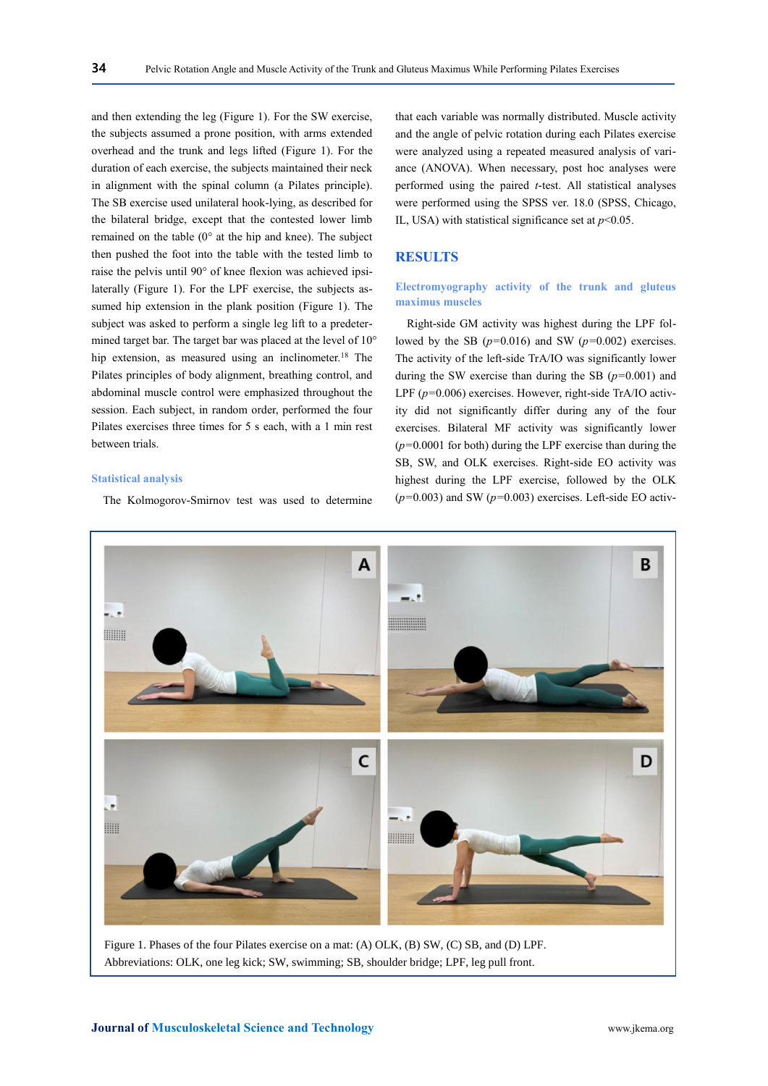and then extending the leg (Figure 1). For the SW exercise, the subjects assumed a prone position, with arms extended overhead and the trunk and legs lifted (Figure 1). For the duration of each exercise, the subjects maintained their neck in alignment with the spinal column (a Pilates principle). The SB exercise used unilateral hook-lying, as described for the bilateral bridge, except that the contested lower limb remained on the table (0° at the hip and knee). The subject then pushed the foot into the table with the tested limb to raise the pelvis until 90° of knee flexion was achieved ipsilaterally (Figure 1). For the LPF exercise, the subjects assumed hip extension in the plank position (Figure 1). The subject was asked to perform a single leg lift to a predetermined target bar. The target bar was placed at the level of 10° hip extension, as measured using an inclinometer.<sup>18</sup> The Pilates principles of body alignment, breathing control, and abdominal muscle control were emphasized throughout the session. Each subject, in random order, performed the four Pilates exercises three times for 5 s each, with a 1 min rest between trials.

#### **Statistical analysis**

The Kolmogorov-Smirnov test was used to determine

that each variable was normally distributed. Muscle activity and the angle of pelvic rotation during each Pilates exercise were analyzed using a repeated measured analysis of variance (ANOVA). When necessary, post hoc analyses were performed using the paired *t*-test. All statistical analyses were performed using the SPSS ver. 18.0 (SPSS, Chicago, IL, USA) with statistical significance set at  $p<0.05$ .

## **RESULTS**

## **Electromyography activity of the trunk and gluteus maximus muscles**

Right-side GM activity was highest during the LPF followed by the SB (*p=*0.016) and SW (*p=*0.002) exercises. The activity of the left-side TrA/IO was significantly lower during the SW exercise than during the SB (*p=*0.001) and LPF (*p=*0.006) exercises. However, right-side TrA/IO activity did not significantly differ during any of the four exercises. Bilateral MF activity was significantly lower (*p=*0.0001 for both) during the LPF exercise than during the SB, SW, and OLK exercises. Right-side EO activity was highest during the LPF exercise, followed by the OLK (*p=*0.003) and SW (*p=*0.003) exercises. Left-side EO activ-



Abbreviations: OLK, one leg kick; SW, swimming; SB, shoulder bridge; LPF, leg pull front.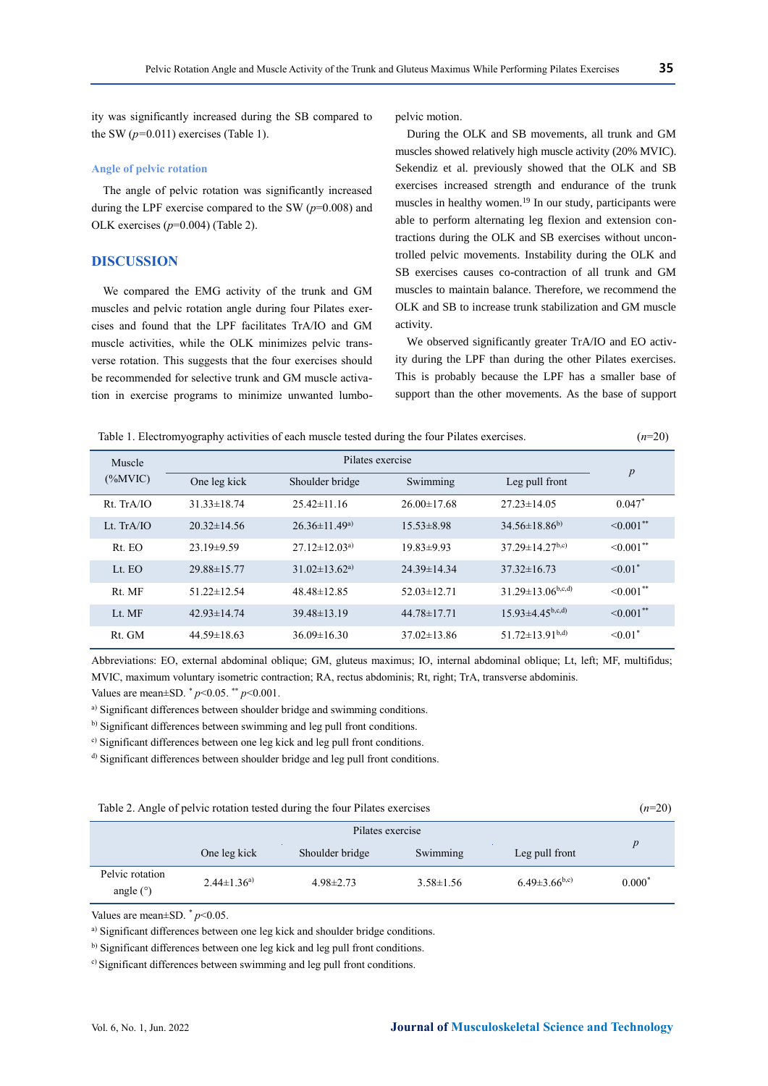ity was significantly increased during the SB compared to the SW  $(p=0.011)$  exercises (Table 1).

## **Angle of pelvic rotation**

The angle of pelvic rotation was significantly increased during the LPF exercise compared to the SW (*p*=0.008) and OLK exercises (*p*=0.004) (Table 2).

# **DISCUSSION**

We compared the EMG activity of the trunk and GM muscles and pelvic rotation angle during four Pilates exercises and found that the LPF facilitates TrA/IO and GM muscle activities, while the OLK minimizes pelvic transverse rotation. This suggests that the four exercises should be recommended for selective trunk and GM muscle activation in exercise programs to minimize unwanted lumbopelvic motion.

During the OLK and SB movements, all trunk and GM muscles showed relatively high muscle activity (20% MVIC). Sekendiz et al*.* previously showed that the OLK and SB exercises increased strength and endurance of the trunk muscles in healthy women.<sup>19</sup> In our study, participants were able to perform alternating leg flexion and extension contractions during the OLK and SB exercises without uncontrolled pelvic movements. Instability during the OLK and SB exercises causes co-contraction of all trunk and GM muscles to maintain balance. Therefore, we recommend the OLK and SB to increase trunk stabilization and GM muscle activity.

We observed significantly greater TrA/IO and EO activity during the LPF than during the other Pilates exercises. This is probably because the LPF has a smaller base of support than the other movements. As the base of support

| Table 1. Electromyography activities of each muscle tested during the four Pilates exercises. | $(n=20)$ |
|-----------------------------------------------------------------------------------------------|----------|
|                                                                                               |          |

| Muscle           | Pilates exercise  |                                 |                   |                           |                            |
|------------------|-------------------|---------------------------------|-------------------|---------------------------|----------------------------|
| $(\%MVIC)$       | One leg kick      | Shoulder bridge                 | Swimming          | Leg pull front            | $\boldsymbol{p}$           |
| $Rt$ . Tr $A/IO$ | $31.33 \pm 18.74$ | $25.42 \pm 11.16$               | $26.00 \pm 17.68$ | $27.23 \pm 14.05$         | $0.047*$                   |
| Lt. $TrA/IO$     | $20.32 \pm 14.56$ | $26.36 \pm 11.49^{\text{a}}$    | $15.53\pm8.98$    | $34.56\pm18.86^{b}$       | $\leq 0.001$ <sup>**</sup> |
| Rt. EO           | $23.19 \pm 9.59$  | $27.12 \pm 12.03^{a}$           | $19.83 \pm 9.93$  | $37.29 \pm 14.27^{b,c}$   | $\leq 0.001$ <sup>**</sup> |
| Lt. EO           | 29.88±15.77       | $31.02 \pm 13.62$ <sup>a)</sup> | $24.39 \pm 14.34$ | $37.32 \pm 16.73$         | $\leq 0.01$ <sup>*</sup>   |
| Rt. MF           | $51.22 \pm 12.54$ | $48.48 \pm 12.85$               | $52.03 \pm 12.71$ | $31.29 \pm 13.06^{b,c,d}$ | $\leq 0.001$ <sup>**</sup> |
| Lt. MF           | $42.93 \pm 14.74$ | $39.48 \pm 13.19$               | $44.78 \pm 17.71$ | $15.93 \pm 4.45^{b,c,d}$  | $\leq 0.001$ **            |
| Rt. GM           | $44.59 \pm 18.63$ | $36.09 \pm 16.30$               | $37.02 \pm 13.86$ | $51.72 \pm 13.91^{b,d}$   | $\leq 0.01$ <sup>*</sup>   |

Abbreviations: EO, external abdominal oblique; GM, gluteus maximus; IO, internal abdominal oblique; Lt, left; MF, multifidus; MVIC, maximum voluntary isometric contraction; RA, rectus abdominis; Rt, right; TrA, transverse abdominis.

Values are mean±SD. \* *p*<0.05. \*\* *p*<0.001.

a) Significant differences between shoulder bridge and swimming conditions.

b) Significant differences between swimming and leg pull front conditions.

c) Significant differences between one leg kick and leg pull front conditions.

d) Significant differences between shoulder bridge and leg pull front conditions.

Table 2. Angle of pelvic rotation tested during the four Pilates exercises (*n*=20)

|                                | Pilates exercise    |                 |                 |                     |          |
|--------------------------------|---------------------|-----------------|-----------------|---------------------|----------|
|                                | One leg kick        | Shoulder bridge | Swimming        | Leg pull front      | p        |
| Pelvic rotation<br>angle $(°)$ | $2.44 \pm 1.36^{a}$ | $4.98 \pm 2.73$ | $3.58 \pm 1.56$ | $6.49\pm3.66^{b,c}$ | $0.000*$ |

Values are mean $\pm$ SD.  $\degree$  *p*<0.05.

a) Significant differences between one leg kick and shoulder bridge conditions.

b) Significant differences between one leg kick and leg pull front conditions.

<sup>c)</sup> Significant differences between swimming and leg pull front conditions.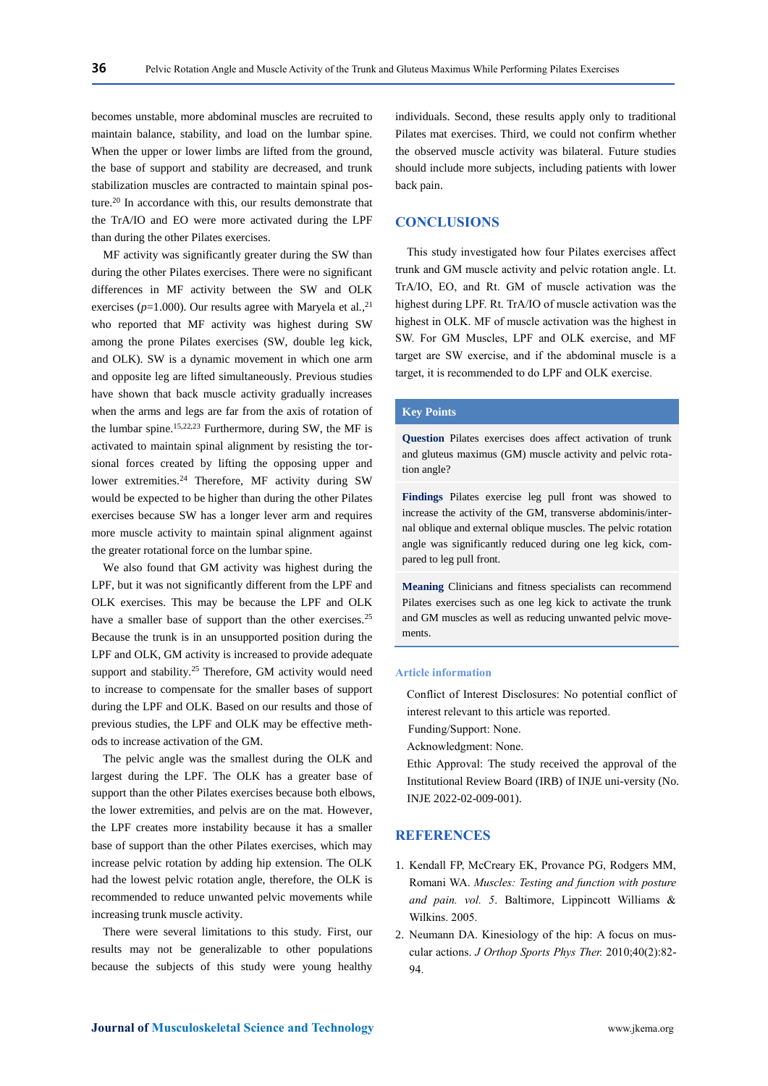becomes unstable, more abdominal muscles are recruited to maintain balance, stability, and load on the lumbar spine. When the upper or lower limbs are lifted from the ground, the base of support and stability are decreased, and trunk stabilization muscles are contracted to maintain spinal posture.<sup>20</sup> In accordance with this, our results demonstrate that the TrA/IO and EO were more activated during the LPF than during the other Pilates exercises.

MF activity was significantly greater during the SW than during the other Pilates exercises. There were no significant differences in MF activity between the SW and OLK exercises (*p*=1.000). Our results agree with Maryela et al*.*, 21 who reported that MF activity was highest during SW among the prone Pilates exercises (SW, double leg kick, and OLK). SW is a dynamic movement in which one arm and opposite leg are lifted simultaneously. Previous studies have shown that back muscle activity gradually increases when the arms and legs are far from the axis of rotation of the lumbar spine.<sup>15,22,23</sup> Furthermore, during SW, the MF is activated to maintain spinal alignment by resisting the torsional forces created by lifting the opposing upper and lower extremities.<sup>24</sup> Therefore, MF activity during SW would be expected to be higher than during the other Pilates exercises because SW has a longer lever arm and requires more muscle activity to maintain spinal alignment against the greater rotational force on the lumbar spine.

We also found that GM activity was highest during the LPF, but it was not significantly different from the LPF and OLK exercises. This may be because the LPF and OLK have a smaller base of support than the other exercises.<sup>25</sup> Because the trunk is in an unsupported position during the LPF and OLK, GM activity is increased to provide adequate support and stability.<sup>25</sup> Therefore, GM activity would need to increase to compensate for the smaller bases of support during the LPF and OLK. Based on our results and those of previous studies, the LPF and OLK may be effective methods to increase activation of the GM.

The pelvic angle was the smallest during the OLK and largest during the LPF. The OLK has a greater base of support than the other Pilates exercises because both elbows, the lower extremities, and pelvis are on the mat. However, the LPF creates more instability because it has a smaller base of support than the other Pilates exercises, which may increase pelvic rotation by adding hip extension. The OLK had the lowest pelvic rotation angle, therefore, the OLK is recommended to reduce unwanted pelvic movements while increasing trunk muscle activity.

There were several limitations to this study. First, our results may not be generalizable to other populations because the subjects of this study were young healthy

individuals. Second, these results apply only to traditional Pilates mat exercises. Third, we could not confirm whether the observed muscle activity was bilateral. Future studies should include more subjects, including patients with lower back pain.

# **CONCLUSIONS**

This study investigated how four Pilates exercises affect trunk and GM muscle activity and pelvic rotation angle. Lt. TrA/IO, EO, and Rt. GM of muscle activation was the highest during LPF. Rt. TrA/IO of muscle activation was the highest in OLK. MF of muscle activation was the highest in SW. For GM Muscles, LPF and OLK exercise, and MF target are SW exercise, and if the abdominal muscle is a target, it is recommended to do LPF and OLK exercise.

#### **Key Points**

**Question** Pilates exercises does affect activation of trunk and gluteus maximus (GM) muscle activity and pelvic rotation angle?

**Findings** Pilates exercise leg pull front was showed to increase the activity of the GM, transverse abdominis/internal oblique and external oblique muscles. The pelvic rotation angle was significantly reduced during one leg kick, compared to leg pull front.

**Meaning** Clinicians and fitness specialists can recommend Pilates exercises such as one leg kick to activate the trunk and GM muscles as well as reducing unwanted pelvic movements.

## **Article information**

Conflict of Interest Disclosures: No potential conflict of interest relevant to this article was reported.

Funding/Support: None.

Acknowledgment: None.

Ethic Approval: The study received the approval of the Institutional Review Board (IRB) of INJE uni-versity (No. INJE 2022-02-009-001).

## **REFERENCES**

- 1. Kendall FP, McCreary EK, Provance PG, Rodgers MM, Romani WA. *Muscles: Testing and function with posture and pain. vol. 5*. Baltimore, Lippincott Williams & Wilkins. 2005.
- 2. Neumann DA. Kinesiology of the hip: A focus on muscular actions. *J Orthop Sports Phys Ther.* 2010;40(2):82- 94.